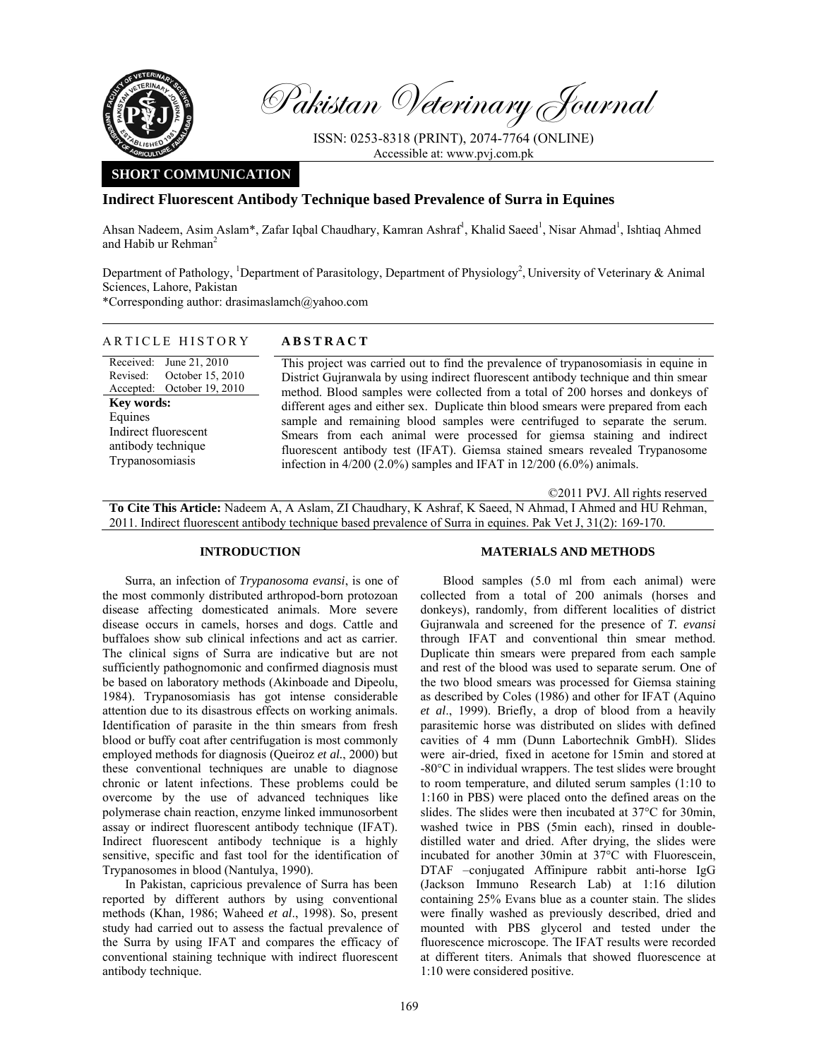

Pakistan Veterinary Journal

ISSN: 0253-8318 (PRINT), 2074-7764 (ONLINE) Accessible at: www.pvj.com.pk

# **SHORT COMMUNICATION**

## **Indirect Fluorescent Antibody Technique based Prevalence of Surra in Equines**

Ahsan Nadeem, Asim Aslam\*, Zafar Iqbal Chaudhary, Kamran Ashraf<sup>1</sup>, Khalid Saeed<sup>1</sup>, Nisar Ahmad<sup>1</sup>, Ishtiaq Ahmed and Habib ur Rehman<sup>2</sup>

Department of Pathology, <sup>1</sup>Department of Parasitology, Department of Physiology<sup>2</sup>, University of Veterinary & Animal Sciences, Lahore, Pakistan \*Corresponding author: drasimaslamch@yahoo.com

# ARTICLE HISTORY **ABSTRACT**

Received: Revised: Accepted: June 21, 2010 October 15, 2010 October 19, 2010 **Key words:**  Equines Indirect fluorescent antibody technique Trypanosomiasis

This project was carried out to find the prevalence of trypanosomiasis in equine in District Gujranwala by using indirect fluorescent antibody technique and thin smear method. Blood samples were collected from a total of 200 horses and donkeys of different ages and either sex. Duplicate thin blood smears were prepared from each sample and remaining blood samples were centrifuged to separate the serum. Smears from each animal were processed for giemsa staining and indirect fluorescent antibody test (IFAT). Giemsa stained smears revealed Trypanosome infection in 4/200 (2.0%) samples and IFAT in 12/200 (6.0%) animals.

©2011 PVJ. All rights reserved

**To Cite This Article:** Nadeem A, A Aslam, ZI Chaudhary, K Ashraf, K Saeed, N Ahmad, I Ahmed and HU Rehman, 2011. Indirect fluorescent antibody technique based prevalence of Surra in equines. Pak Vet J, 31(2): 169-170.

## **INTRODUCTION**

Surra, an infection of *Trypanosoma evansi*, is one of the most commonly distributed arthropod-born protozoan disease affecting domesticated animals. More severe disease occurs in camels, horses and dogs. Cattle and buffaloes show sub clinical infections and act as carrier. The clinical signs of Surra are indicative but are not sufficiently pathognomonic and confirmed diagnosis must be based on laboratory methods (Akinboade and Dipeolu, 1984). Trypanosomiasis has got intense considerable attention due to its disastrous effects on working animals. Identification of parasite in the thin smears from fresh blood or buffy coat after centrifugation is most commonly employed methods for diagnosis (Queiroz *et al.*, 2000) but these conventional techniques are unable to diagnose chronic or latent infections. These problems could be overcome by the use of advanced techniques like polymerase chain reaction, enzyme linked immunosorbent assay or indirect fluorescent antibody technique (IFAT). Indirect fluorescent antibody technique is a highly sensitive, specific and fast tool for the identification of Trypanosomes in blood (Nantulya, 1990).

In Pakistan, capricious prevalence of Surra has been reported by different authors by using conventional methods (Khan*,* 1986; Waheed *et al*., 1998). So, present study had carried out to assess the factual prevalence of the Surra by using IFAT and compares the efficacy of conventional staining technique with indirect fluorescent antibody technique.

## **MATERIALS AND METHODS**

Blood samples (5.0 ml from each animal) were collected from a total of 200 animals (horses and donkeys), randomly, from different localities of district Gujranwala and screened for the presence of *T. evansi* through IFAT and conventional thin smear method. Duplicate thin smears were prepared from each sample and rest of the blood was used to separate serum. One of the two blood smears was processed for Giemsa staining as described by Coles (1986) and other for IFAT (Aquino *et al*., 1999). Briefly, a drop of blood from a heavily parasitemic horse was distributed on slides with defined cavities of 4 mm (Dunn Labortechnik GmbH). Slides were air-dried, fixed in acetone for 15min and stored at -80°C in individual wrappers. The test slides were brought to room temperature, and diluted serum samples (1:10 to 1:160 in PBS) were placed onto the defined areas on the slides. The slides were then incubated at 37°C for 30min. washed twice in PBS (5min each), rinsed in doubledistilled water and dried. After drying, the slides were incubated for another 30min at 37°C with Fluorescein, DTAF –conjugated Affinipure rabbit anti-horse IgG (Jackson Immuno Research Lab) at 1:16 dilution containing 25% Evans blue as a counter stain. The slides were finally washed as previously described, dried and mounted with PBS glycerol and tested under the fluorescence microscope. The IFAT results were recorded at different titers. Animals that showed fluorescence at 1:10 were considered positive.